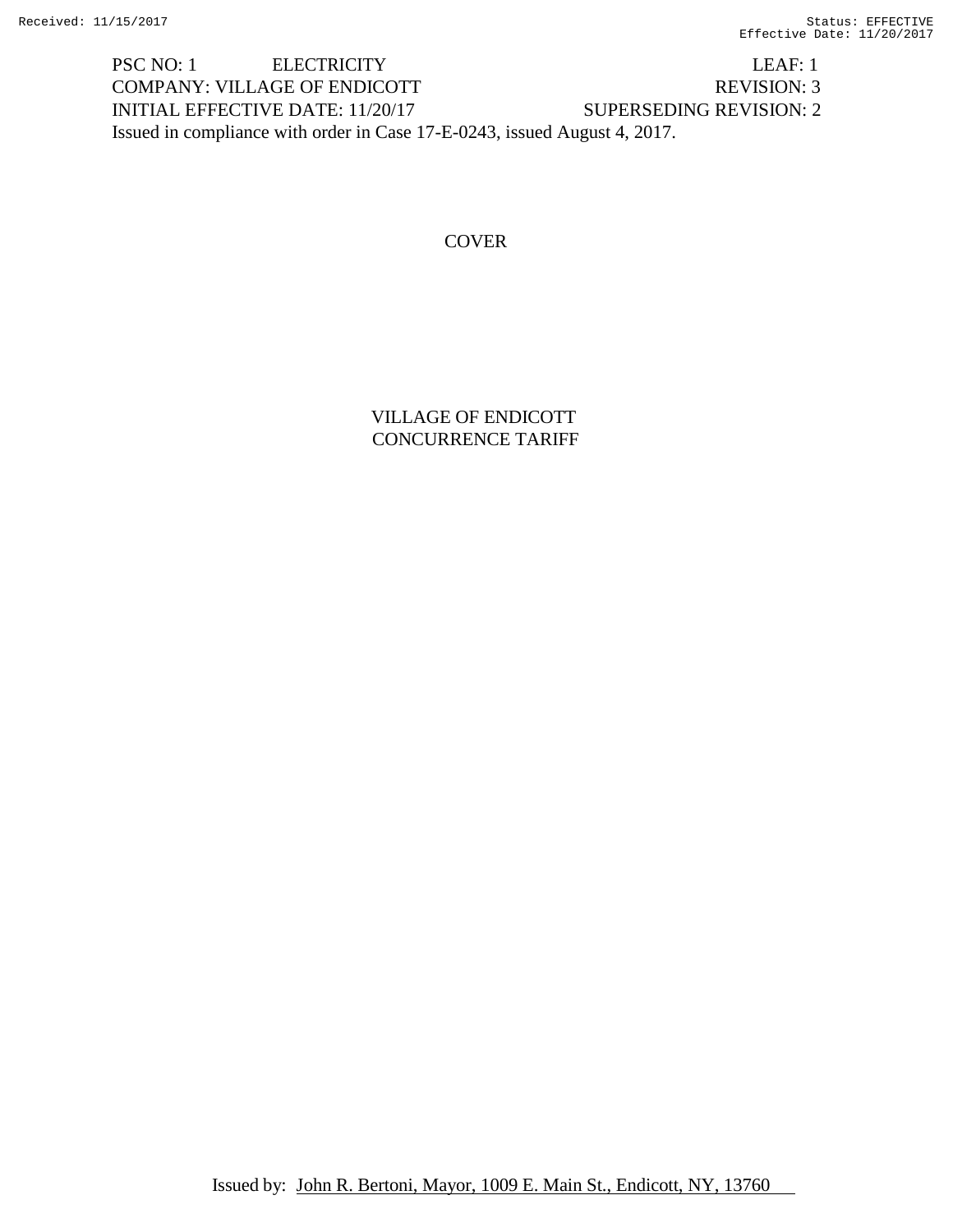PSC NO: 1 ELECTRICITY LEAF: 1 COMPANY: VILLAGE OF ENDICOTT REVISION: 3 INITIAL EFFECTIVE DATE: 11/20/17 SUPERSEDING REVISION: 2 Issued in compliance with order in Case 17-E-0243, issued August 4, 2017.

# **COVER**

VILLAGE OF ENDICOTT CONCURRENCE TARIFF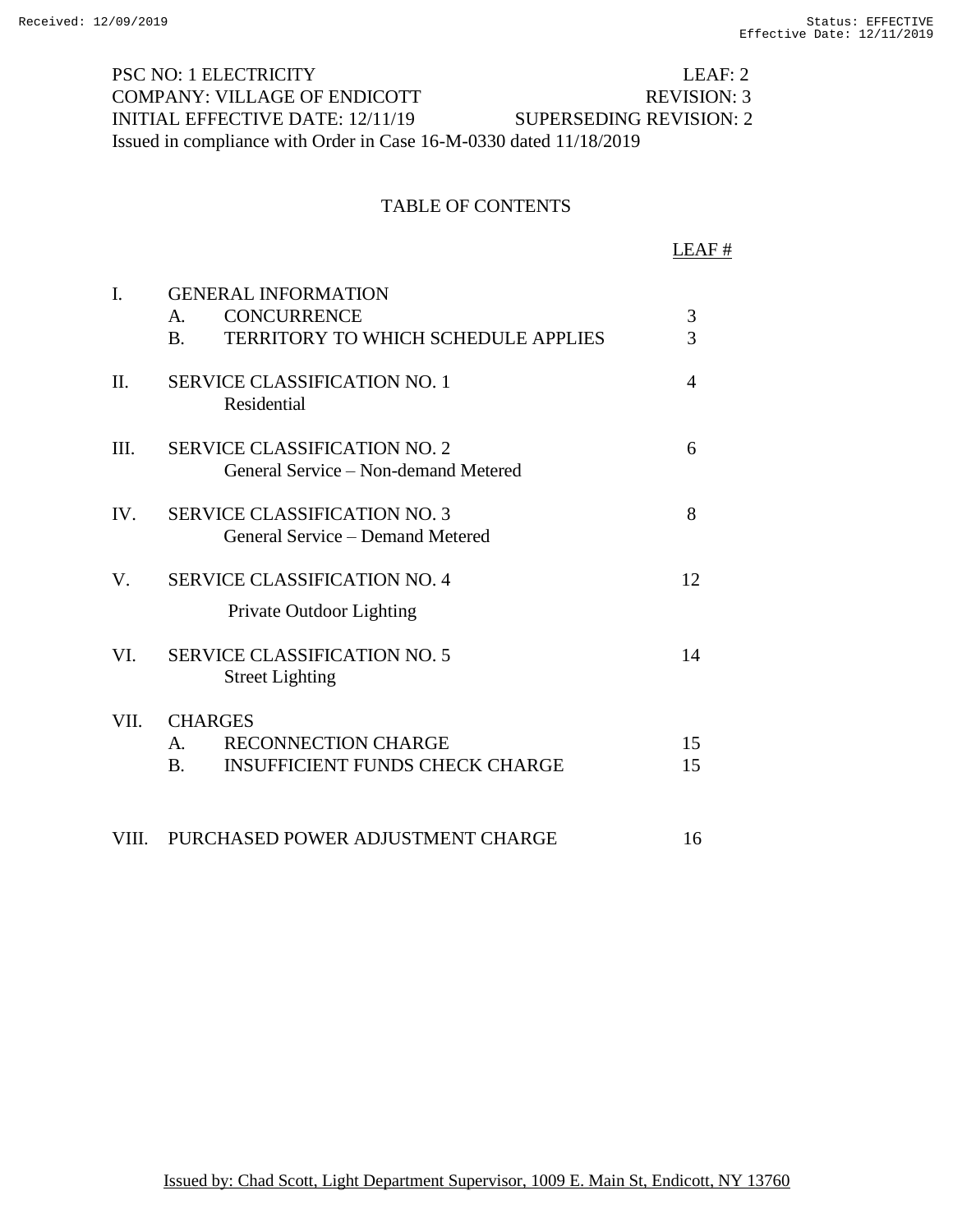PSC NO: 1 ELECTRICITY LEAF: 2 COMPANY: VILLAGE OF ENDICOTT REVISION: 3 INITIAL EFFECTIVE DATE: 12/11/19 SUPERSEDING REVISION: 2 Issued in compliance with Order in Case 16-M-0330 dated 11/18/2019

#### TABLE OF CONTENTS

LEAF # I. GENERAL INFORMATION A. CONCURRENCE 3 B. TERRITORY TO WHICH SCHEDULE APPLIES 3 II. SERVICE CLASSIFICATION NO. 1 4 Residential III. SERVICE CLASSIFICATION NO. 2 6 General Service – Non-demand Metered IV. SERVICE CLASSIFICATION NO. 3 8 General Service – Demand Metered V. SERVICE CLASSIFICATION NO. 4 12 Private Outdoor Lighting VI. SERVICE CLASSIFICATION NO. 5 14 Street Lighting VII. CHARGES A. RECONNECTION CHARGE 15 B. INSUFFICIENT FUNDS CHECK CHARGE 15 VIII. PURCHASED POWER ADJUSTMENT CHARGE 16

Issued by: Chad Scott, Light Department Supervisor, 1009 E. Main St, Endicott, NY 13760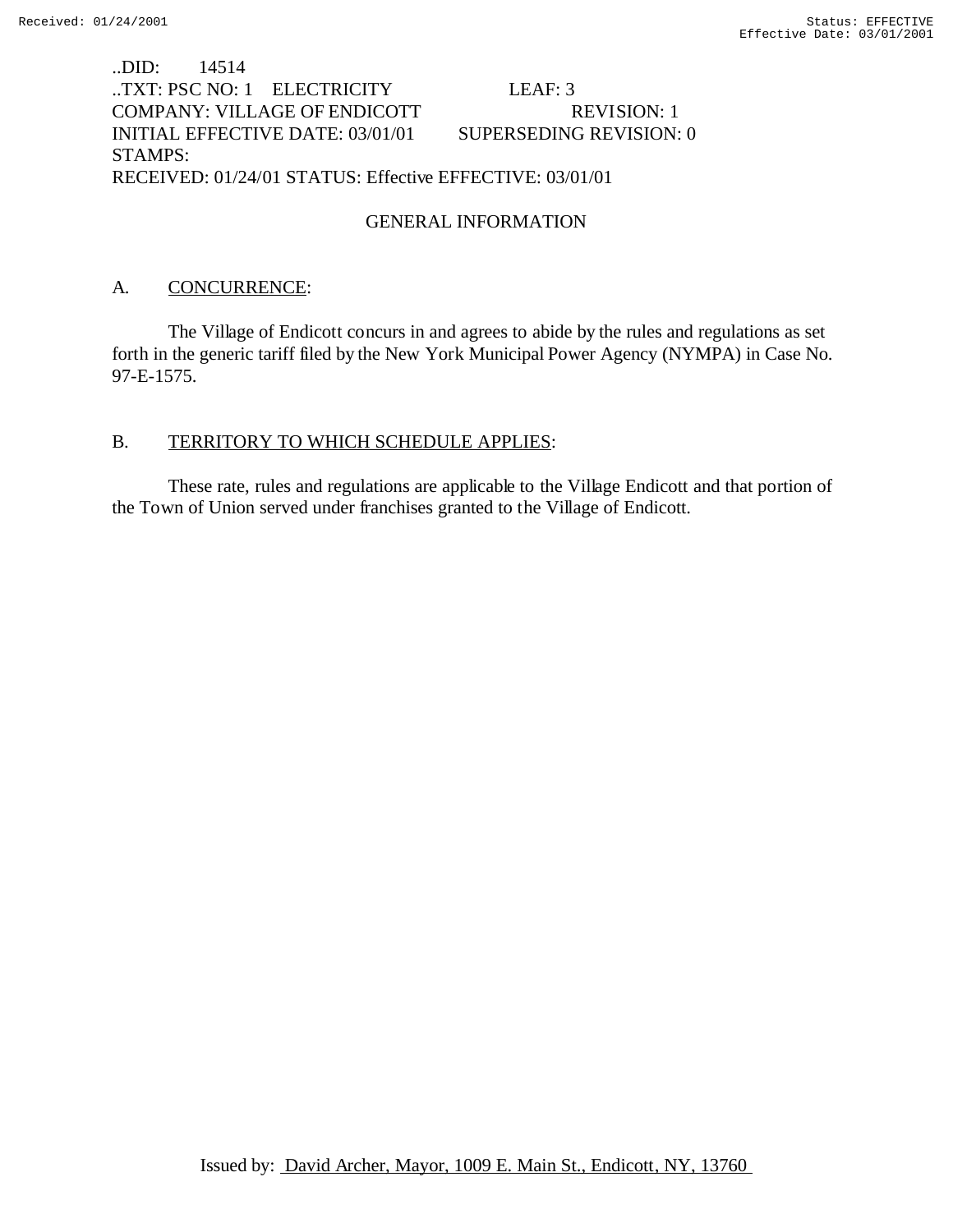# ..DID: 14514 ..TXT: PSC NO: 1 ELECTRICITY LEAF: 3 COMPANY: VILLAGE OF ENDICOTT REVISION: 1 INITIAL EFFECTIVE DATE: 03/01/01 SUPERSEDING REVISION: 0 STAMPS: RECEIVED: 01/24/01 STATUS: Effective EFFECTIVE: 03/01/01

# GENERAL INFORMATION

# A. CONCURRENCE:

The Village of Endicott concurs in and agrees to abide by the rules and regulations as set forth in the generic tariff filed by the New York Municipal Power Agency (NYMPA) in Case No. 97-E-1575.

## B. TERRITORY TO WHICH SCHEDULE APPLIES:

These rate, rules and regulations are applicable to the Village Endicott and that portion of the Town of Union served under franchises granted to the Village of Endicott.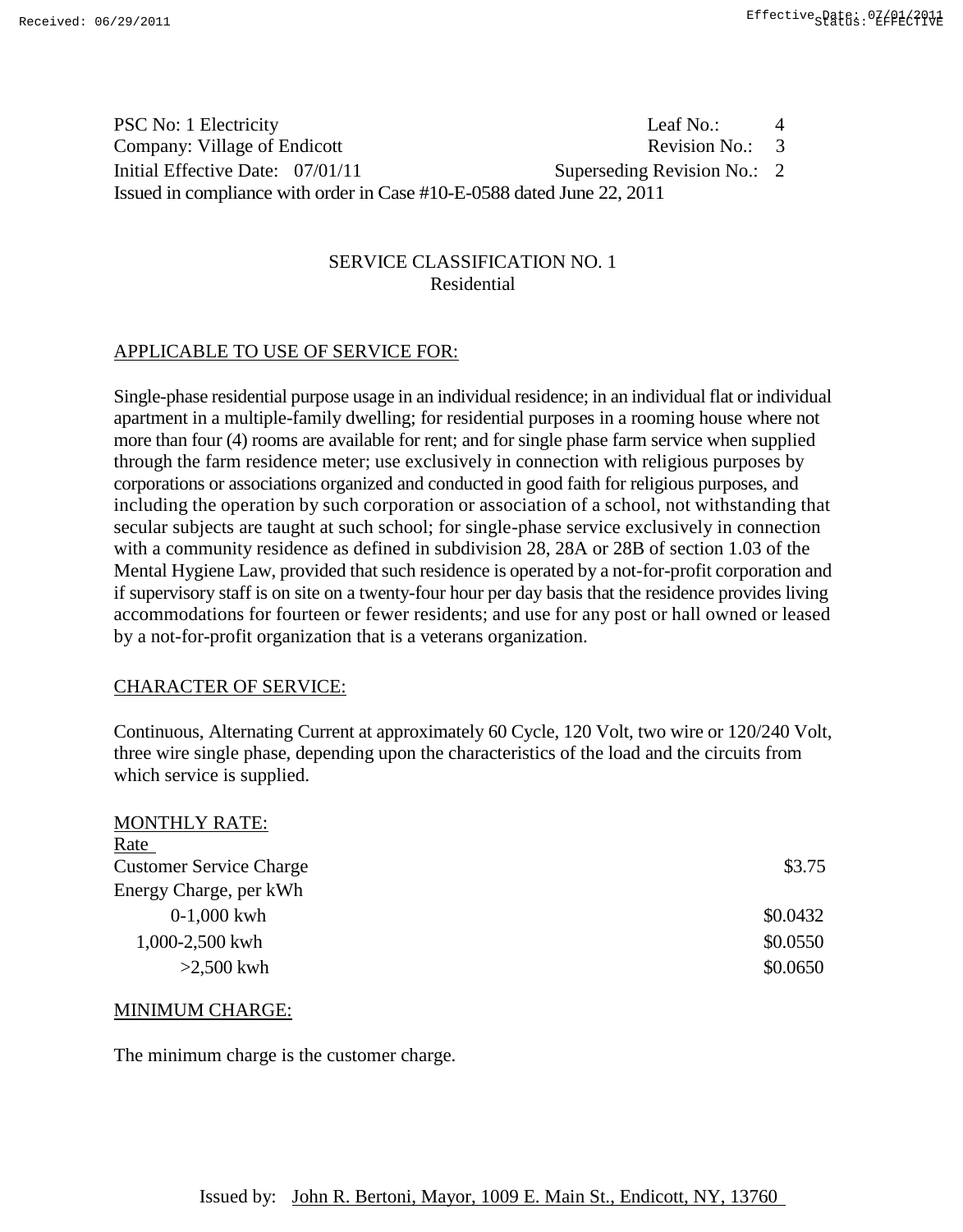| PSC No: 1 Electricity                                                  | Leaf No.:                   | $\overline{4}$ |  |
|------------------------------------------------------------------------|-----------------------------|----------------|--|
| Company: Village of Endicott                                           | Revision No.: $\,3\,$       |                |  |
| Initial Effective Date: 07/01/11                                       | Superseding Revision No.: 2 |                |  |
| Issued in compliance with order in Case #10-E-0588 dated June 22, 2011 |                             |                |  |

## SERVICE CLASSIFICATION NO. 1 Residential

# APPLICABLE TO USE OF SERVICE FOR:

Single-phase residential purpose usage in an individual residence; in an individual flat or individual apartment in a multiple-family dwelling; for residential purposes in a rooming house where not more than four (4) rooms are available for rent; and for single phase farm service when supplied through the farm residence meter; use exclusively in connection with religious purposes by corporations or associations organized and conducted in good faith for religious purposes, and including the operation by such corporation or association of a school, not withstanding that secular subjects are taught at such school; for single-phase service exclusively in connection with a community residence as defined in subdivision 28, 28A or 28B of section 1.03 of the Mental Hygiene Law, provided that such residence is operated by a not-for-profit corporation and if supervisory staff is on site on a twenty-four hour per day basis that the residence provides living accommodations for fourteen or fewer residents; and use for any post or hall owned or leased by a not-for-profit organization that is a veterans organization.

## CHARACTER OF SERVICE:

Continuous, Alternating Current at approximately 60 Cycle, 120 Volt, two wire or 120/240 Volt, three wire single phase, depending upon the characteristics of the load and the circuits from which service is supplied.

| \$3.75   |
|----------|
|          |
| \$0.0432 |
| \$0.0550 |
| \$0.0650 |
|          |

#### MINIMUM CHARGE:

MONTHLY DATE:

The minimum charge is the customer charge.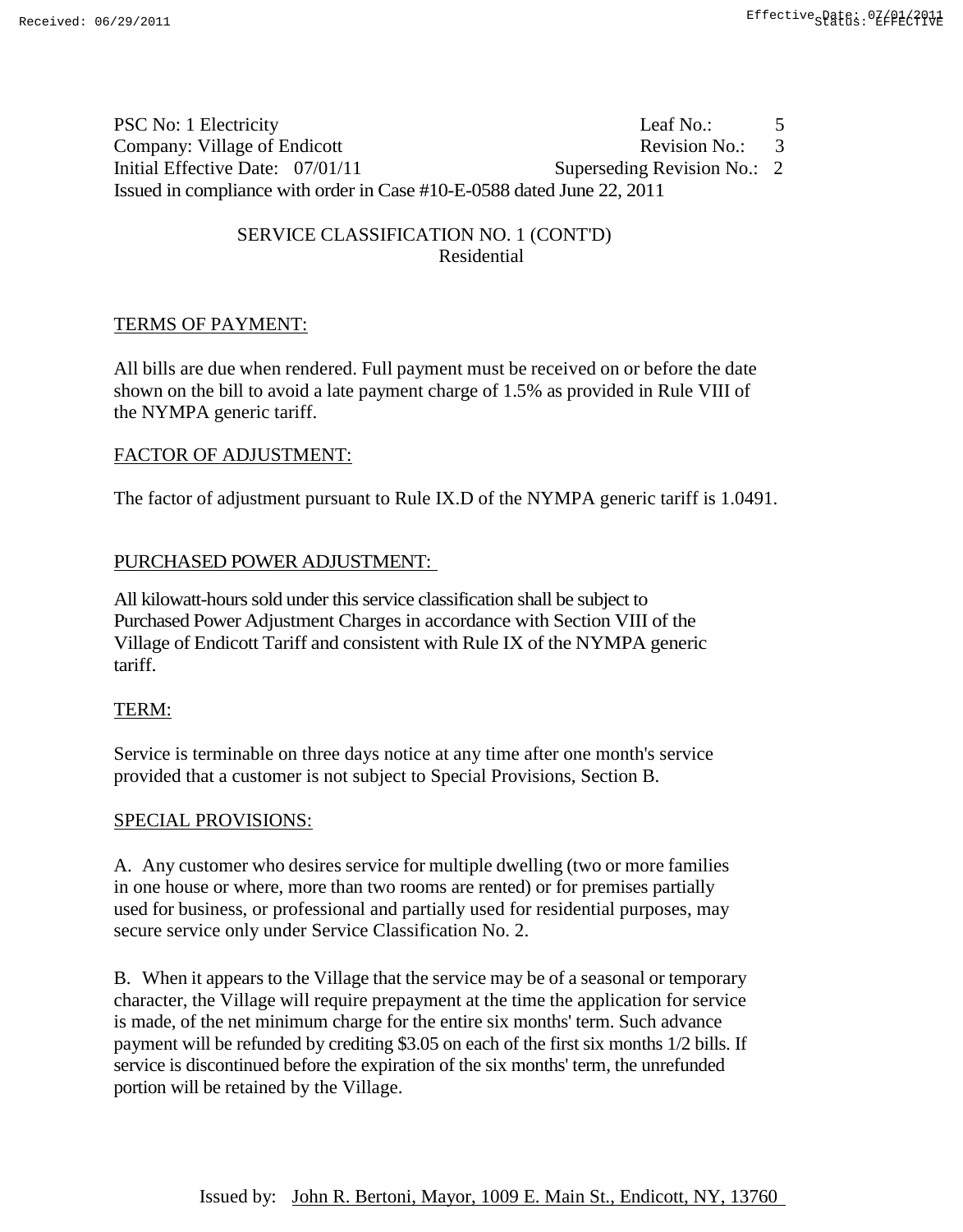| PSC No: 1 Electricity                                                  | Leaf No.:                   | 5              |
|------------------------------------------------------------------------|-----------------------------|----------------|
| Company: Village of Endicott                                           | Revision No.:               | $\overline{3}$ |
| Initial Effective Date: 07/01/11                                       | Superseding Revision No.: 2 |                |
| Issued in compliance with order in Case #10-E-0588 dated June 22, 2011 |                             |                |

# SERVICE CLASSIFICATION NO. 1 (CONT'D) Residential

# TERMS OF PAYMENT:

All bills are due when rendered. Full payment must be received on or before the date shown on the bill to avoid a late payment charge of 1.5% as provided in Rule VIII of the NYMPA generic tariff.

# FACTOR OF ADJUSTMENT:

The factor of adjustment pursuant to Rule IX.D of the NYMPA generic tariff is 1.0491.

# PURCHASED POWER ADJUSTMENT:

All kilowatt-hours sold under this service classification shall be subject to Purchased Power Adjustment Charges in accordance with Section VIII of the Village of Endicott Tariff and consistent with Rule IX of the NYMPA generic tariff.

# TERM:

Service is terminable on three days notice at any time after one month's service provided that a customer is not subject to Special Provisions, Section B.

# SPECIAL PROVISIONS:

A. Any customer who desires service for multiple dwelling (two or more families in one house or where, more than two rooms are rented) or for premises partially used for business, or professional and partially used for residential purposes, may secure service only under Service Classification No. 2.

B. When it appears to the Village that the service may be of a seasonal or temporary character, the Village will require prepayment at the time the application for service is made, of the net minimum charge for the entire six months' term. Such advance payment will be refunded by crediting \$3.05 on each of the first six months 1/2 bills. If service is discontinued before the expiration of the six months' term, the unrefunded portion will be retained by the Village.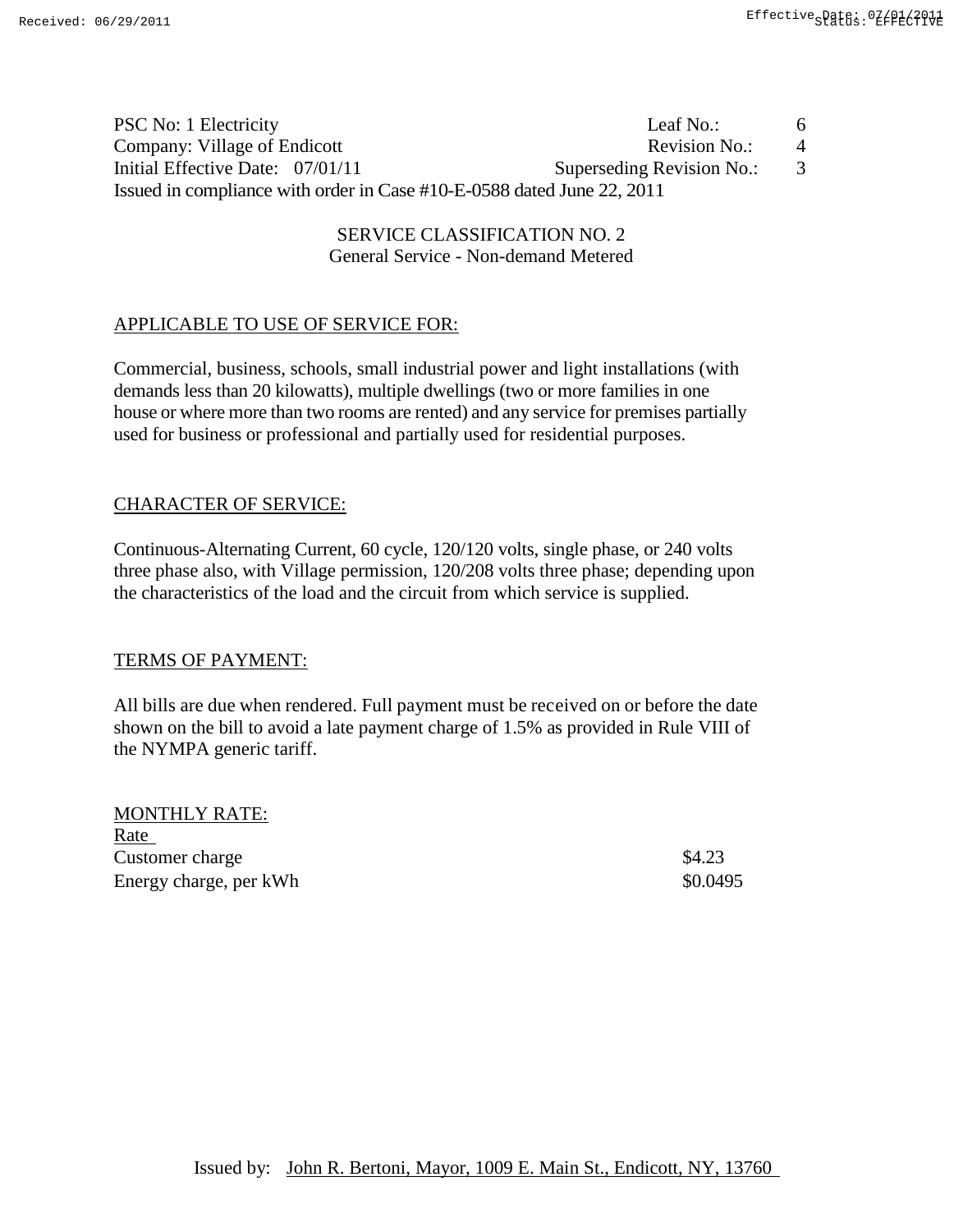| PSC No: 1 Electricity                                                  | Leaf No.:                 | 6              |
|------------------------------------------------------------------------|---------------------------|----------------|
| Company: Village of Endicott                                           | Revision No.:             | $\overline{4}$ |
| Initial Effective Date: 07/01/11                                       | Superseding Revision No.: |                |
| Issued in compliance with order in Case #10-E-0588 dated June 22, 2011 |                           |                |

SERVICE CLASSIFICATION NO. 2. General Service - Non-demand Metered

# APPLICABLE TO USE OF SERVICE FOR:

Commercial, business, schools, small industrial power and light installations (with demands less than 20 kilowatts), multiple dwellings (two or more families in one house or where more than two rooms are rented) and any service for premises partially used for business or professional and partially used for residential purposes.

# CHARACTER OF SERVICE:

Continuous-Alternating Current, 60 cycle, 120/120 volts, single phase, or 240 volts three phase also, with Village permission, 120/208 volts three phase; depending upon the characteristics of the load and the circuit from which service is supplied.

## TERMS OF PAYMENT:

All bills are due when rendered. Full payment must be received on or before the date shown on the bill to avoid a late payment charge of 1.5% as provided in Rule VIII of the NYMPA generic tariff.

MONTHLY RATE: Rate Customer charge \$4.23 Energy charge, per kWh  $\$0.0495$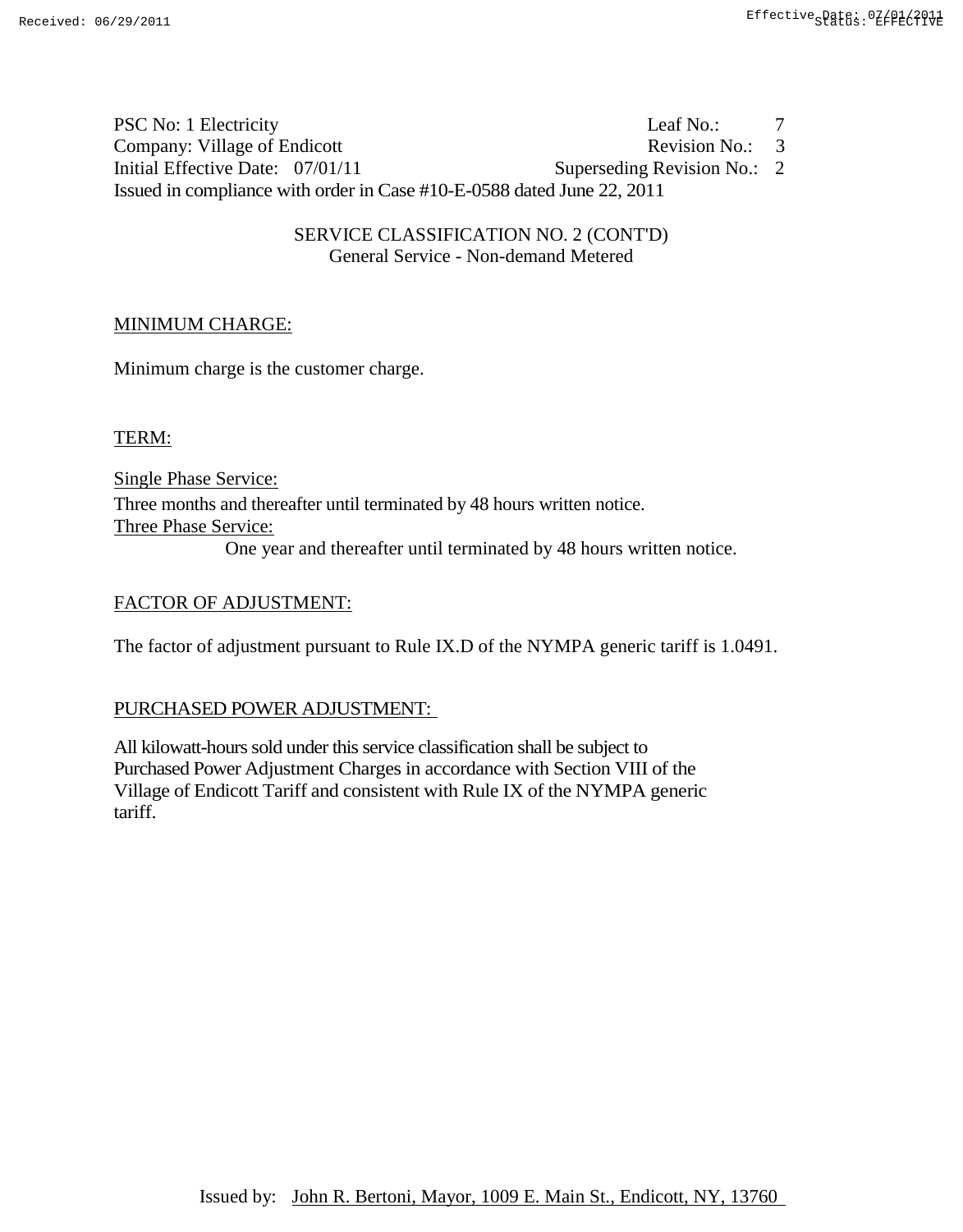PSC No: 1 Electricity Leaf No.: 7 Company: Village of Endicott Revision No.: 3 Initial Effective Date:  $07/01/11$  Superseding Revision No.: 2 Issued in compliance with order in Case #10-E-0588 dated June 22, 2011

> SERVICE CLASSIFICATION NO. 2 (CONT'D) General Service - Non-demand Metered

## MINIMUM CHARGE:

Minimum charge is the customer charge.

TERM:

Single Phase Service: Three months and thereafter until terminated by 48 hours written notice. Three Phase Service: One year and thereafter until terminated by 48 hours written notice.

#### FACTOR OF ADJUSTMENT:

The factor of adjustment pursuant to Rule IX.D of the NYMPA generic tariff is 1.0491.

#### PURCHASED POWER ADJUSTMENT:

All kilowatt-hours sold under this service classification shall be subject to Purchased Power Adjustment Charges in accordance with Section VIII of the Village of Endicott Tariff and consistent with Rule IX of the NYMPA generic tariff.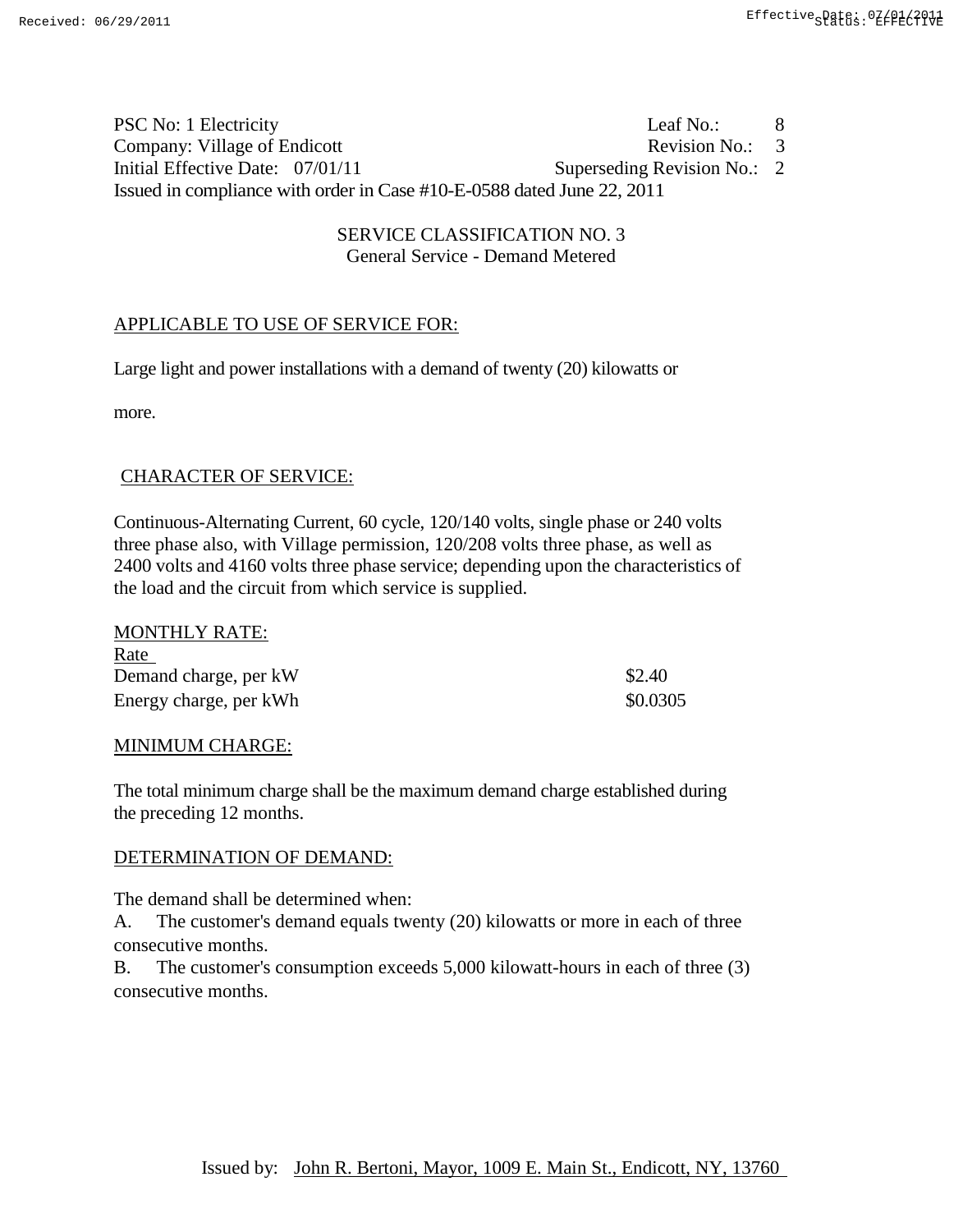PSC No: 1 Electricity Leaf No.: 8 Company: Village of Endicott Revision No.: 3 Initial Effective Date:  $07/01/11$  Superseding Revision No.: 2 Issued in compliance with order in Case #10-E-0588 dated June 22, 2011

> SERVICE CLASSIFICATION NO. 3 General Service - Demand Metered

## APPLICABLE TO USE OF SERVICE FOR:

Large light and power installations with a demand of twenty (20) kilowatts or

more.

## CHARACTER OF SERVICE:

Continuous-Alternating Current, 60 cycle, 120/140 volts, single phase or 240 volts three phase also, with Village permission, 120/208 volts three phase, as well as 2400 volts and 4160 volts three phase service; depending upon the characteristics of the load and the circuit from which service is supplied.

| <b>MONTHLY RATE:</b>   |          |
|------------------------|----------|
| <u>Rate</u>            |          |
| Demand charge, per kW  | \$2.40   |
| Energy charge, per kWh | \$0.0305 |

#### MINIMUM CHARGE:

The total minimum charge shall be the maximum demand charge established during the preceding 12 months.

## DETERMINATION OF DEMAND:

The demand shall be determined when:

A. The customer's demand equals twenty (20) kilowatts or more in each of three consecutive months.

B. The customer's consumption exceeds 5,000 kilowatt-hours in each of three (3) consecutive months.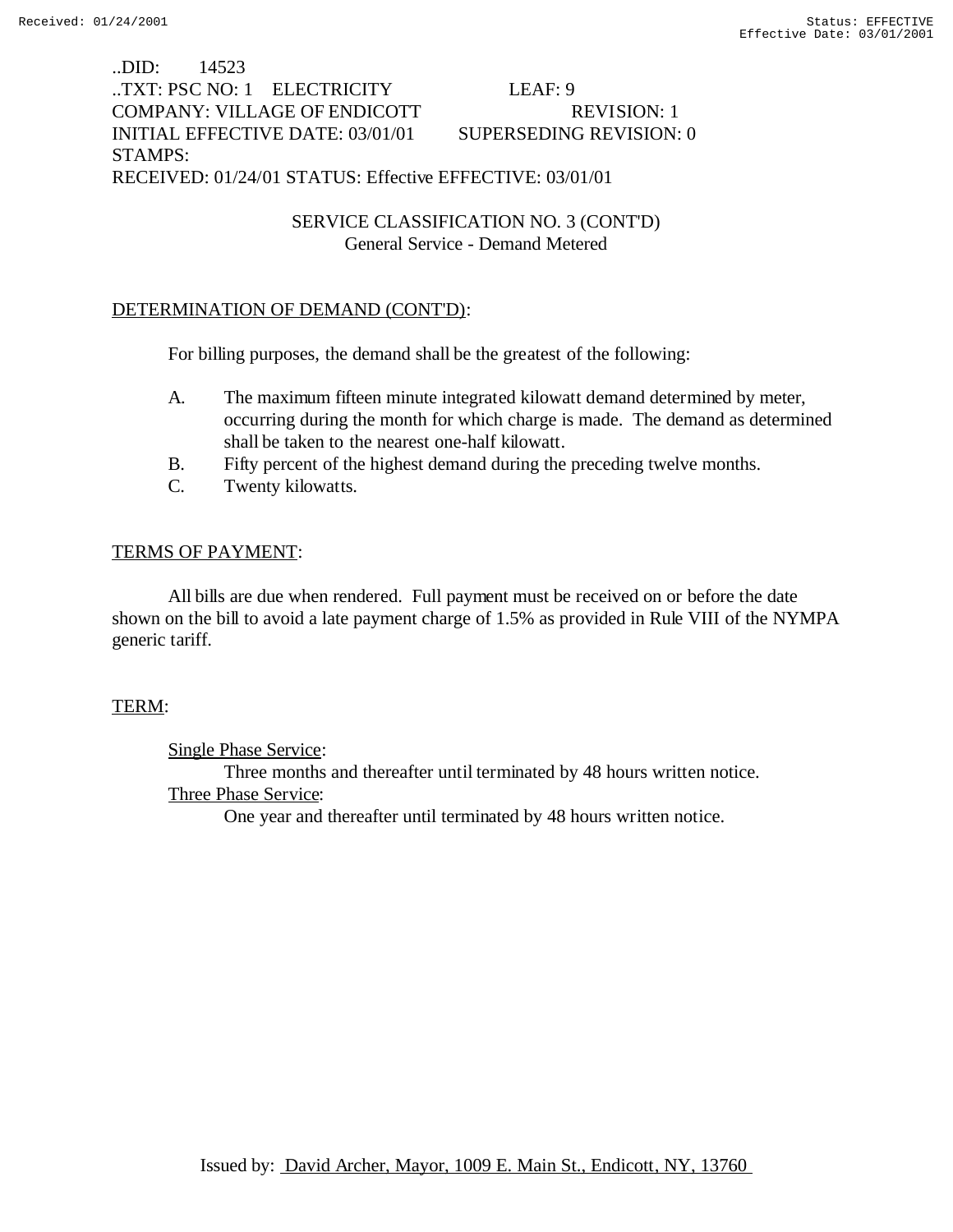..DID: 14523 ..TXT: PSC NO: 1 ELECTRICITY LEAF: 9 COMPANY: VILLAGE OF ENDICOTT REVISION: 1 INITIAL EFFECTIVE DATE: 03/01/01 SUPERSEDING REVISION: 0 STAMPS: RECEIVED: 01/24/01 STATUS: Effective EFFECTIVE: 03/01/01

> SERVICE CLASSIFICATION NO. 3 (CONT'D) General Service - Demand Metered

### DETERMINATION OF DEMAND (CONT'D):

For billing purposes, the demand shall be the greatest of the following:

- A. The maximum fifteen minute integrated kilowatt demand determined by meter, occurring during the month for which charge is made. The demand as determined shall be taken to the nearest one-half kilowatt.
- B. Fifty percent of the highest demand during the preceding twelve months.
- C. Twenty kilowatts.

### TERMS OF PAYMENT:

All bills are due when rendered. Full payment must be received on or before the date shown on the bill to avoid a late payment charge of 1.5% as provided in Rule VIII of the NYMPA generic tariff.

#### TERM:

Single Phase Service: Three months and thereafter until terminated by 48 hours written notice. Three Phase Service: One year and thereafter until terminated by 48 hours written notice.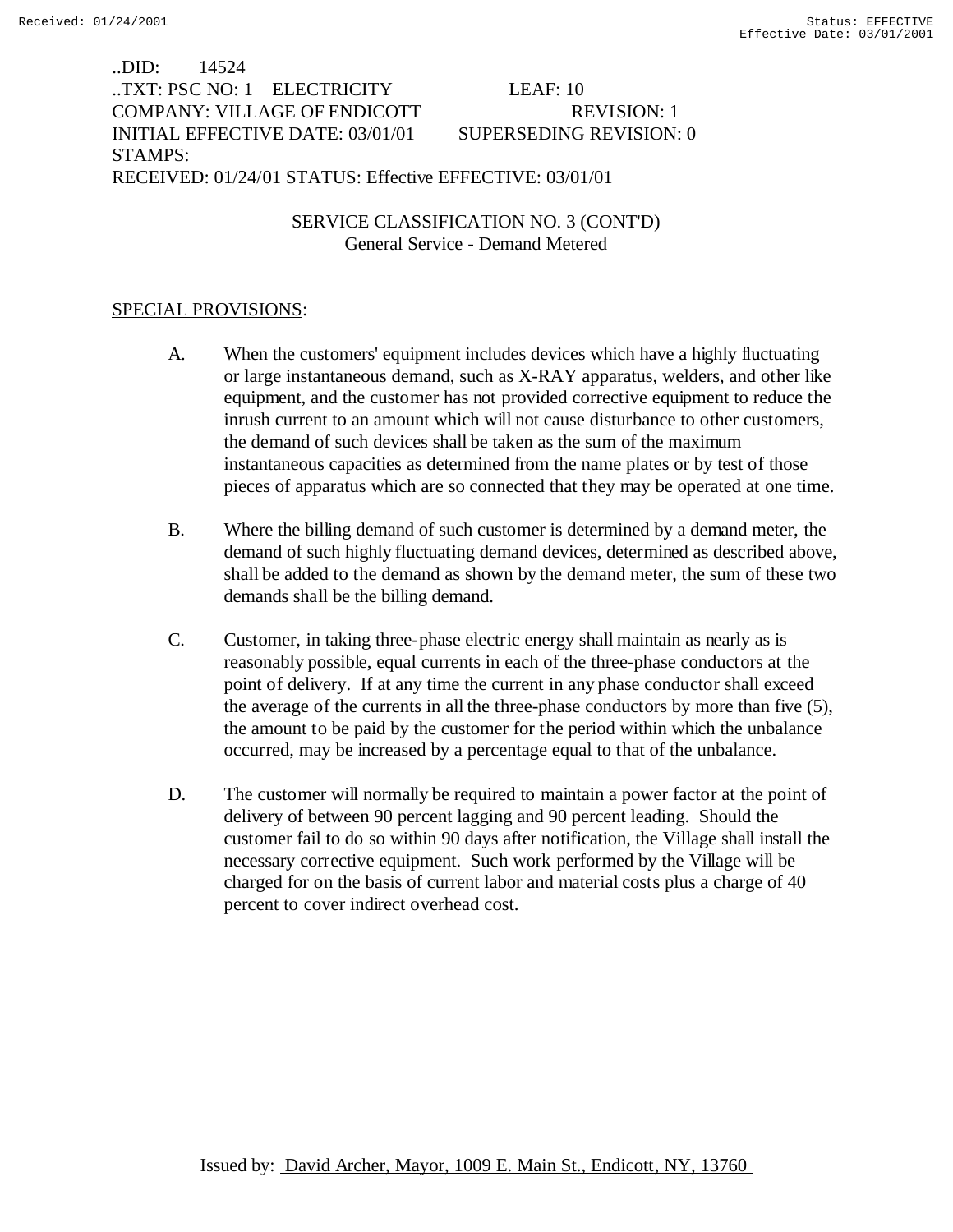..DID: 14524 ..TXT: PSC NO: 1 ELECTRICITY LEAF: 10 COMPANY: VILLAGE OF ENDICOTT REVISION: 1 INITIAL EFFECTIVE DATE: 03/01/01 SUPERSEDING REVISION: 0 STAMPS: RECEIVED: 01/24/01 STATUS: Effective EFFECTIVE: 03/01/01

> SERVICE CLASSIFICATION NO. 3 (CONT'D) General Service - Demand Metered

## SPECIAL PROVISIONS:

- A. When the customers' equipment includes devices which have a highly fluctuating or large instantaneous demand, such as X-RAY apparatus, welders, and other like equipment, and the customer has not provided corrective equipment to reduce the inrush current to an amount which will not cause disturbance to other customers, the demand of such devices shall be taken as the sum of the maximum instantaneous capacities as determined from the name plates or by test of those pieces of apparatus which are so connected that they may be operated at one time.
- B. Where the billing demand of such customer is determined by a demand meter, the demand of such highly fluctuating demand devices, determined as described above, shall be added to the demand as shown by the demand meter, the sum of these two demands shall be the billing demand.
- C. Customer, in taking three-phase electric energy shall maintain as nearly as is reasonably possible, equal currents in each of the three-phase conductors at the point of delivery. If at any time the current in any phase conductor shall exceed the average of the currents in all the three-phase conductors by more than five (5), the amount to be paid by the customer for the period within which the unbalance occurred, may be increased by a percentage equal to that of the unbalance.
- D. The customer will normally be required to maintain a power factor at the point of delivery of between 90 percent lagging and 90 percent leading. Should the customer fail to do so within 90 days after notification, the Village shall install the necessary corrective equipment. Such work performed by the Village will be charged for on the basis of current labor and material costs plus a charge of 40 percent to cover indirect overhead cost.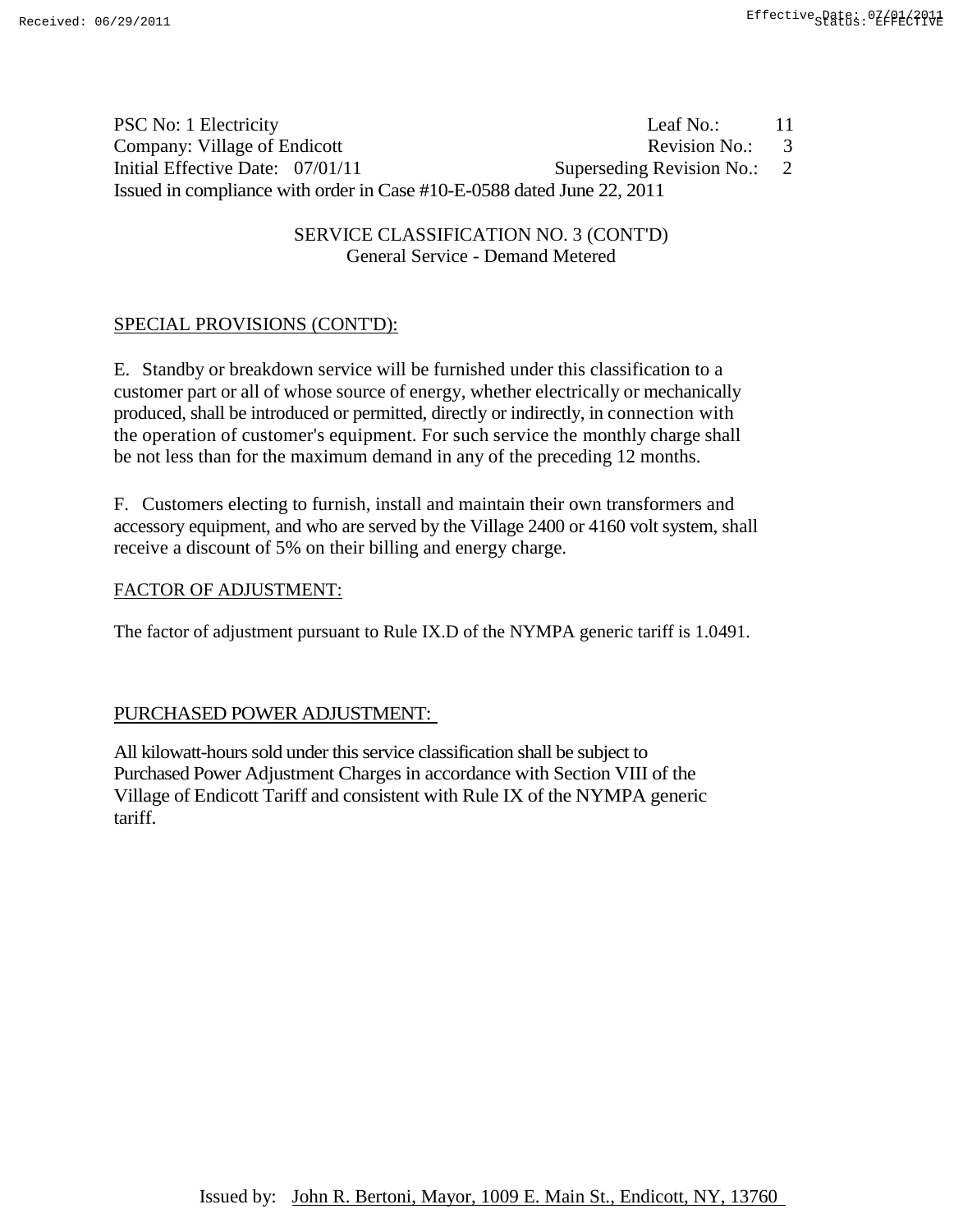| PSC No: 1 Electricity                                                  | Leaf No.:                   | 11  |
|------------------------------------------------------------------------|-----------------------------|-----|
| Company: Village of Endicott                                           | Revision No.:               | - 3 |
| Initial Effective Date: 07/01/11                                       | Superseding Revision No.: 2 |     |
| Issued in compliance with order in Case #10-E-0588 dated June 22, 2011 |                             |     |

SERVICE CLASSIFICATION NO. 3 (CONT'D) General Service - Demand Metered

# SPECIAL PROVISIONS (CONT'D):

E. Standby or breakdown service will be furnished under this classification to a customer part or all of whose source of energy, whether electrically or mechanically produced, shall be introduced or permitted, directly or indirectly, in connection with the operation of customer's equipment. For such service the monthly charge shall be not less than for the maximum demand in any of the preceding 12 months.

F. Customers electing to furnish, install and maintain their own transformers and accessory equipment, and who are served by the Village 2400 or 4160 volt system, shall receive a discount of 5% on their billing and energy charge.

#### FACTOR OF ADJUSTMENT:

The factor of adjustment pursuant to Rule IX.D of the NYMPA generic tariff is 1.0491.

## PURCHASED POWER ADJUSTMENT:

All kilowatt-hours sold under this service classification shall be subject to Purchased Power Adjustment Charges in accordance with Section VIII of the Village of Endicott Tariff and consistent with Rule IX of the NYMPA generic tariff.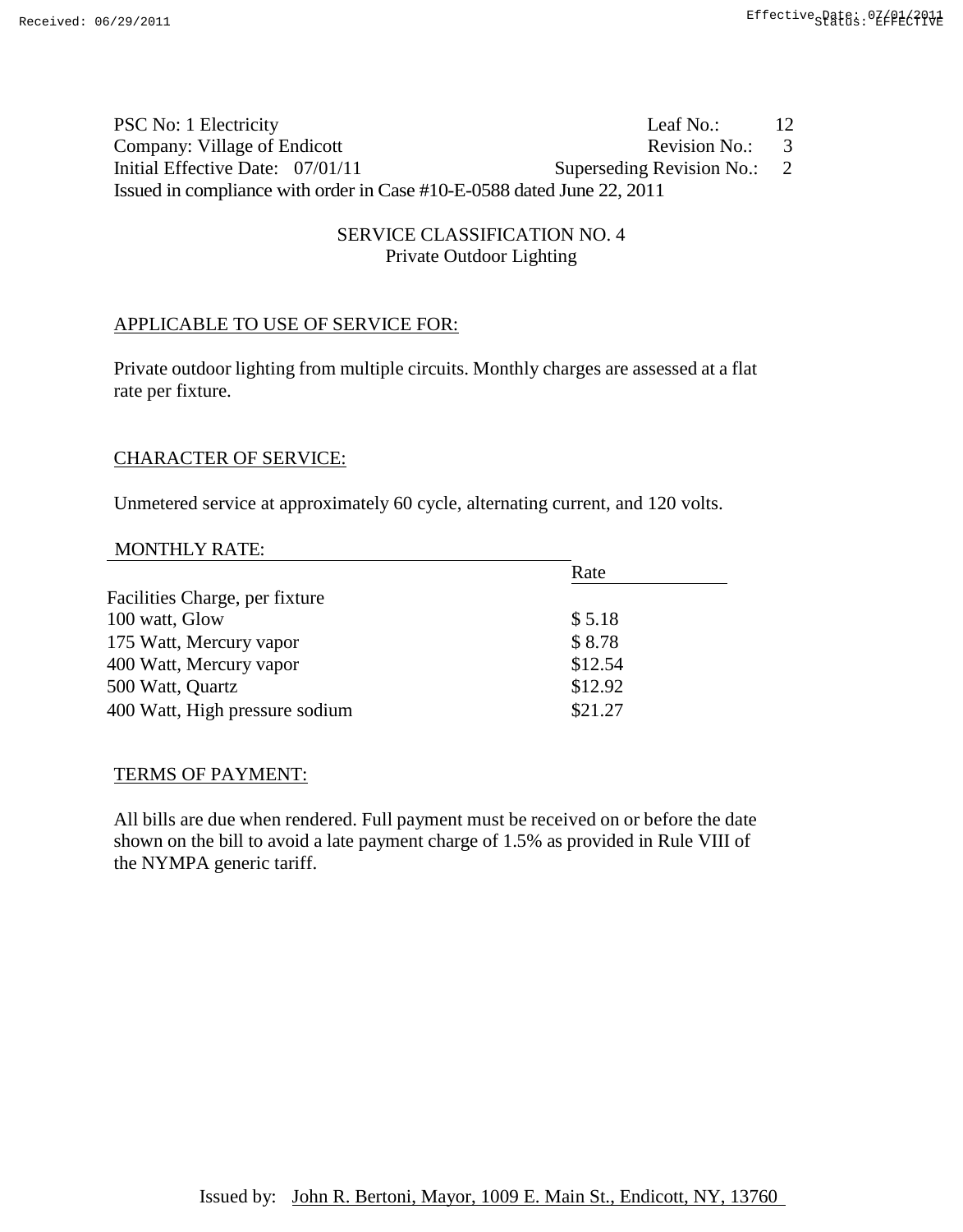| PSC No: 1 Electricity                                                  | Leaf No.:                                  | 12 |
|------------------------------------------------------------------------|--------------------------------------------|----|
| Company: Village of Endicott                                           | Revision No.: 3                            |    |
| Initial Effective Date: 07/01/11                                       | Superseding Revision No.: $2 \overline{2}$ |    |
| Issued in compliance with order in Case #10-E-0588 dated June 22, 2011 |                                            |    |

# SERVICE CLASSIFICATION NO. 4 Private Outdoor Lighting

# APPLICABLE TO USE OF SERVICE FOR:

Private outdoor lighting from multiple circuits. Monthly charges are assessed at a flat rate per fixture.

# CHARACTER OF SERVICE:

Unmetered service at approximately 60 cycle, alternating current, and 120 volts.

#### MONTHLY RATE:

|                                | Rate    |  |
|--------------------------------|---------|--|
| Facilities Charge, per fixture |         |  |
| 100 watt, Glow                 | \$5.18  |  |
| 175 Watt, Mercury vapor        | \$8.78  |  |
| 400 Watt, Mercury vapor        | \$12.54 |  |
| 500 Watt, Quartz               | \$12.92 |  |
| 400 Watt, High pressure sodium | \$21.27 |  |
|                                |         |  |

#### TERMS OF PAYMENT:

All bills are due when rendered. Full payment must be received on or before the date shown on the bill to avoid a late payment charge of 1.5% as provided in Rule VIII of the NYMPA generic tariff.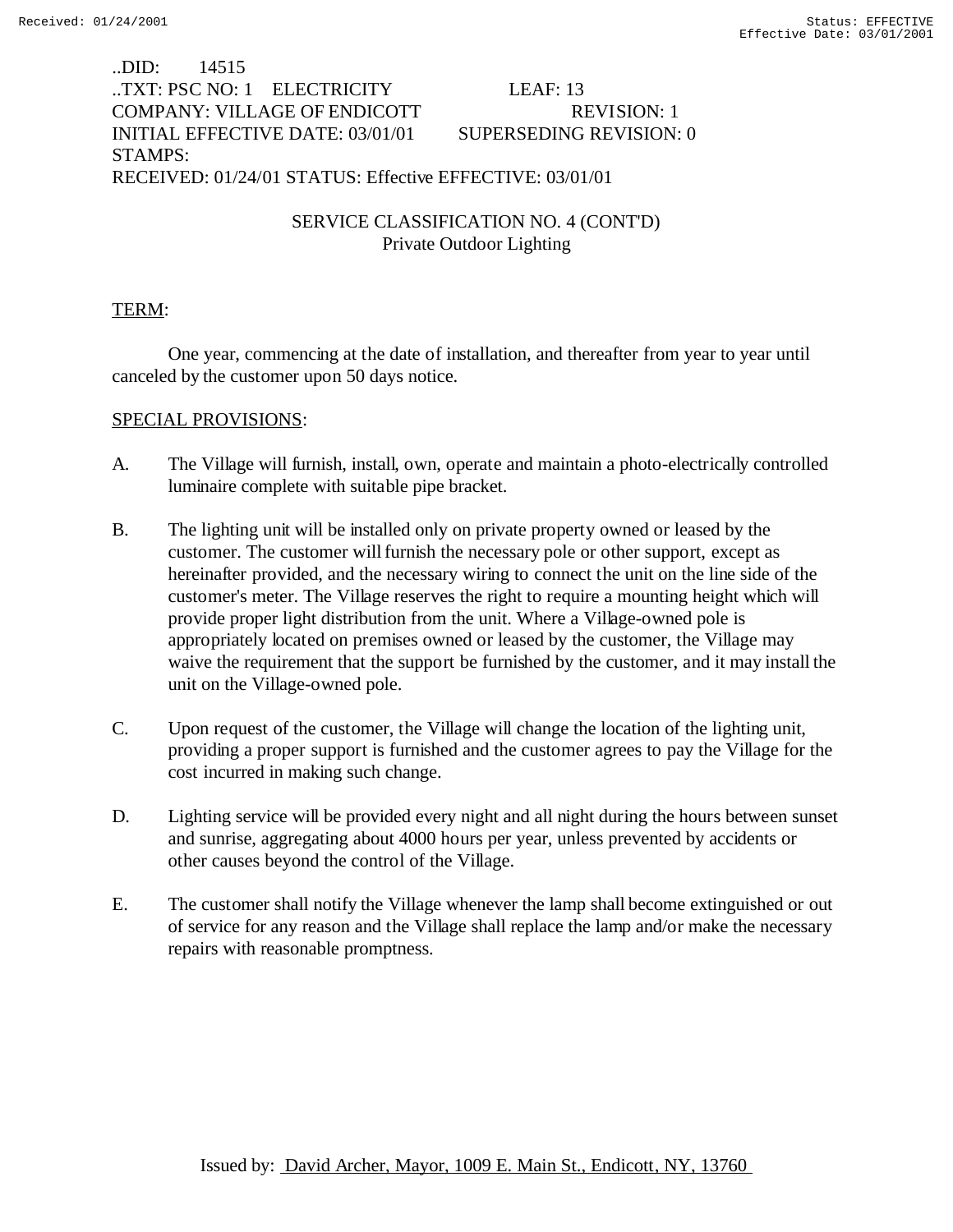# ..DID: 14515 ..TXT: PSC NO: 1 ELECTRICITY LEAF: 13 COMPANY: VILLAGE OF ENDICOTT REVISION: 1 INITIAL EFFECTIVE DATE: 03/01/01 SUPERSEDING REVISION: 0 STAMPS: RECEIVED: 01/24/01 STATUS: Effective EFFECTIVE: 03/01/01

SERVICE CLASSIFICATION NO. 4 (CONT'D) Private Outdoor Lighting

## TERM:

One year, commencing at the date of installation, and thereafter from year to year until canceled by the customer upon 50 days notice.

### SPECIAL PROVISIONS:

- A. The Village will furnish, install, own, operate and maintain a photo-electrically controlled luminaire complete with suitable pipe bracket.
- B. The lighting unit will be installed only on private property owned or leased by the customer. The customer will furnish the necessary pole or other support, except as hereinafter provided, and the necessary wiring to connect the unit on the line side of the customer's meter. The Village reserves the right to require a mounting height which will provide proper light distribution from the unit. Where a Village-owned pole is appropriately located on premises owned or leased by the customer, the Village may waive the requirement that the support be furnished by the customer, and it may install the unit on the Village-owned pole.
- C. Upon request of the customer, the Village will change the location of the lighting unit, providing a proper support is furnished and the customer agrees to pay the Village for the cost incurred in making such change.
- D. Lighting service will be provided every night and all night during the hours between sunset and sunrise, aggregating about 4000 hours per year, unless prevented by accidents or other causes beyond the control of the Village.
- E. The customer shall notify the Village whenever the lamp shall become extinguished or out of service for any reason and the Village shall replace the lamp and/or make the necessary repairs with reasonable promptness.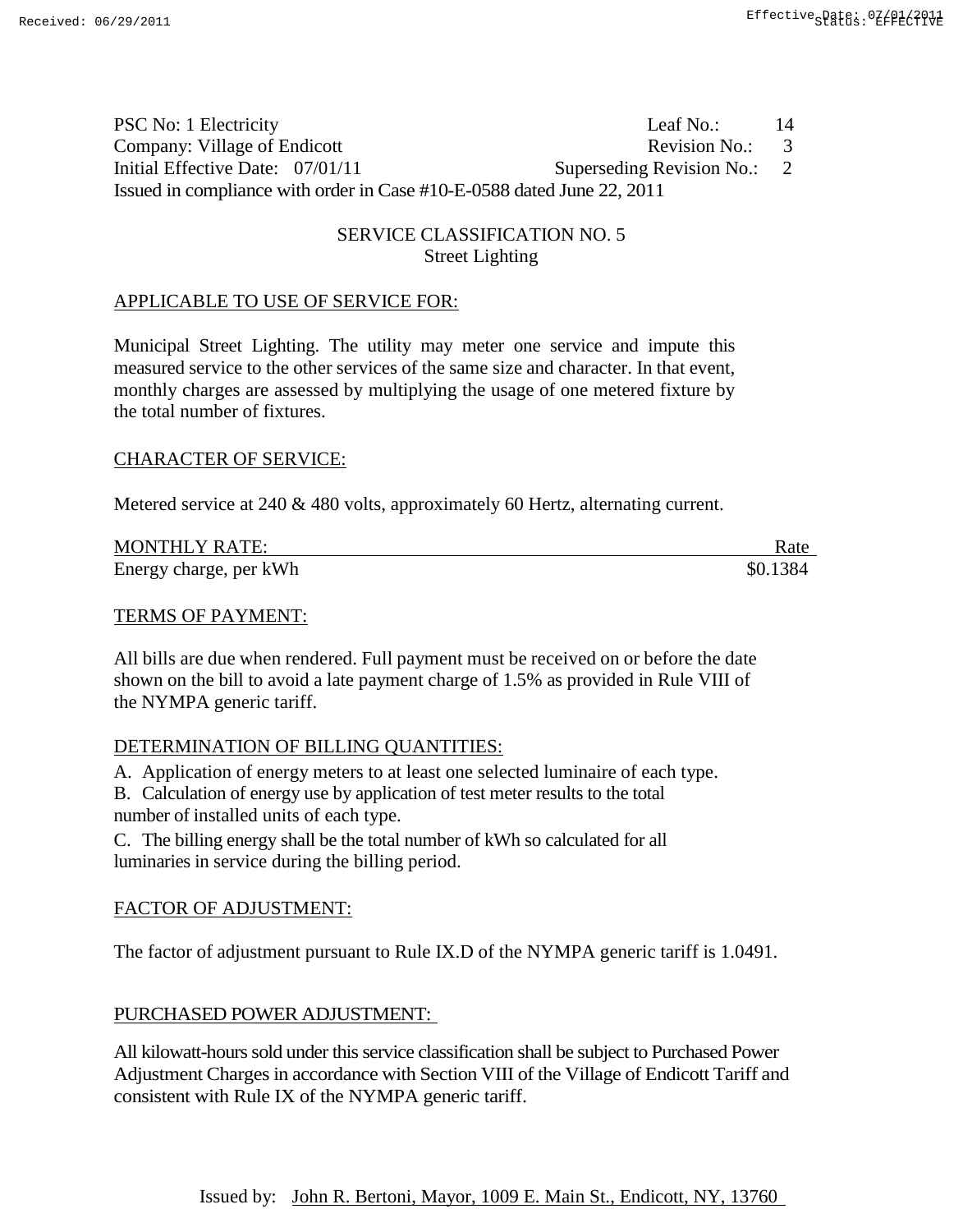PSC No: 1 Electricity Leaf No.: 14 Company: Village of Endicott Revision No.: 3 Initial Effective Date:  $07/01/11$  Superseding Revision No.: 2 Issued in compliance with order in Case #10-E-0588 dated June 22, 2011

# SERVICE CLASSIFICATION NO. 5 Street Lighting

#### APPLICABLE TO USE OF SERVICE FOR:

Municipal Street Lighting. The utility may meter one service and impute this measured service to the other services of the same size and character. In that event, monthly charges are assessed by multiplying the usage of one metered fixture by the total number of fixtures.

#### CHARACTER OF SERVICE:

Metered service at 240 & 480 volts, approximately 60 Hertz, alternating current.

| <b>MONTHLY RATE:</b>   | Rate     |
|------------------------|----------|
| Energy charge, per kWh | \$0.1384 |

#### TERMS OF PAYMENT:

All bills are due when rendered. Full payment must be received on or before the date shown on the bill to avoid a late payment charge of 1.5% as provided in Rule VIII of the NYMPA generic tariff.

#### DETERMINATION OF BILLING QUANTITIES:

A. Application of energy meters to at least one selected luminaire of each type.

B. Calculation of energy use by application of test meter results to the total

number of installed units of each type.

C. The billing energy shall be the total number of kWh so calculated for all luminaries in service during the billing period.

#### FACTOR OF ADJUSTMENT:

The factor of adjustment pursuant to Rule IX.D of the NYMPA generic tariff is 1.0491.

#### PURCHASED POWER ADJUSTMENT:

All kilowatt-hours sold under this service classification shall be subject to Purchased Power Adjustment Charges in accordance with Section VIII of the Village of Endicott Tariff and consistent with Rule IX of the NYMPA generic tariff.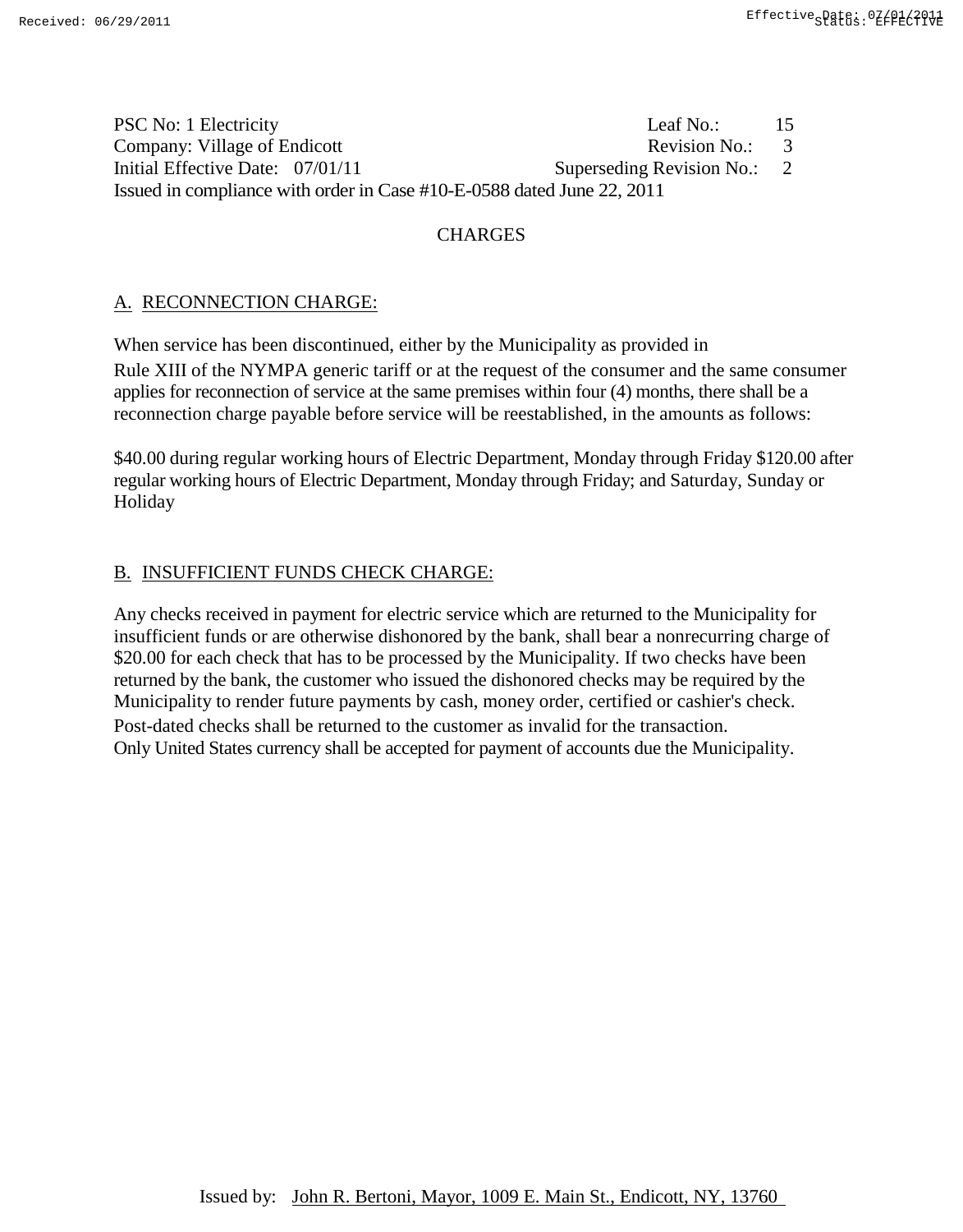| PSC No: 1 Electricity                                                  | Leaf No.:                   | -15 |
|------------------------------------------------------------------------|-----------------------------|-----|
| Company: Village of Endicott                                           | Revision No.: 3             |     |
| Initial Effective Date: 07/01/11                                       | Superseding Revision No.: 2 |     |
| Issued in compliance with order in Case #10-E-0588 dated June 22, 2011 |                             |     |

# **CHARGES**

# A. RECONNECTION CHARGE:

When service has been discontinued, either by the Municipality as provided in Rule XIII of the NYMPA generic tariff or at the request of the consumer and the same consumer applies for reconnection of service at the same premises within four (4) months, there shall be a reconnection charge payable before service will be reestablished, in the amounts as follows:

\$40.00 during regular working hours of Electric Department, Monday through Friday \$120.00 after regular working hours of Electric Department, Monday through Friday; and Saturday, Sunday or Holiday

# B. INSUFFICIENT FUNDS CHECK CHARGE:

Any checks received in payment for electric service which are returned to the Municipality for insufficient funds or are otherwise dishonored by the bank, shall bear a nonrecurring charge of \$20.00 for each check that has to be processed by the Municipality. If two checks have been returned by the bank, the customer who issued the dishonored checks may be required by the Municipality to render future payments by cash, money order, certified or cashier's check. Post-dated checks shall be returned to the customer as invalid for the transaction. Only United States currency shall be accepted for payment of accounts due the Municipality.